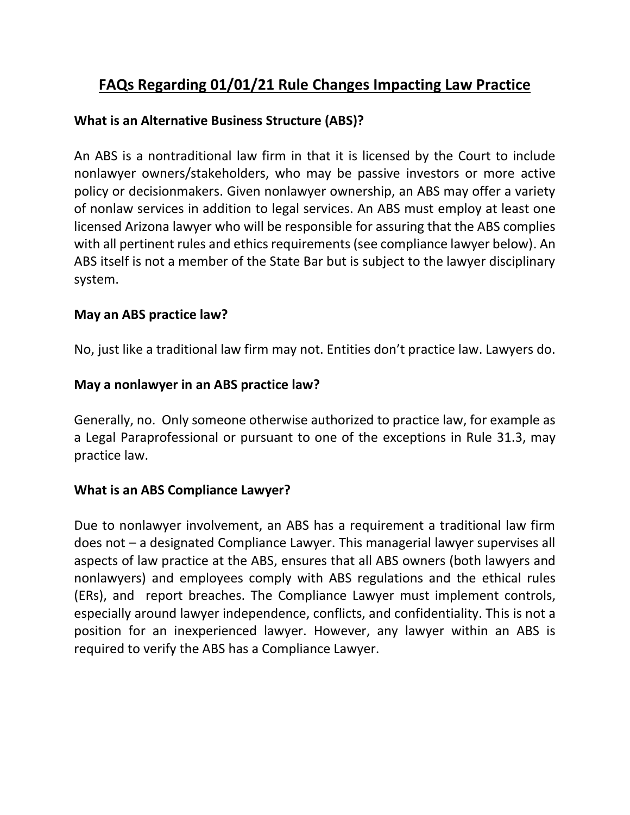# **FAQs Regarding 01/01/21 Rule Changes Impacting Law Practice**

### **What is an Alternative Business Structure (ABS)?**

An ABS is a nontraditional law firm in that it is licensed by the Court to include nonlawyer owners/stakeholders, who may be passive investors or more active policy or decisionmakers. Given nonlawyer ownership, an ABS may offer a variety of nonlaw services in addition to legal services. An ABS must employ at least one licensed Arizona lawyer who will be responsible for assuring that the ABS complies with all pertinent rules and ethics requirements (see compliance lawyer below). An ABS itself is not a member of the State Bar but is subject to the lawyer disciplinary system.

### **May an ABS practice law?**

No, just like a traditional law firm may not. Entities don't practice law. Lawyers do.

### **May a nonlawyer in an ABS practice law?**

Generally, no. Only someone otherwise authorized to practice law, for example as a Legal Paraprofessional or pursuant to one of the exceptions in Rule 31.3, may practice law.

### **What is an ABS Compliance Lawyer?**

Due to nonlawyer involvement, an ABS has a requirement a traditional law firm does not – a designated Compliance Lawyer. This managerial lawyer supervises all aspects of law practice at the ABS, ensures that all ABS owners (both lawyers and nonlawyers) and employees comply with ABS regulations and the ethical rules (ERs), and report breaches. The Compliance Lawyer must implement controls, especially around lawyer independence, conflicts, and confidentiality. This is not a position for an inexperienced lawyer. However, any lawyer within an ABS is required to verify the ABS has a Compliance Lawyer.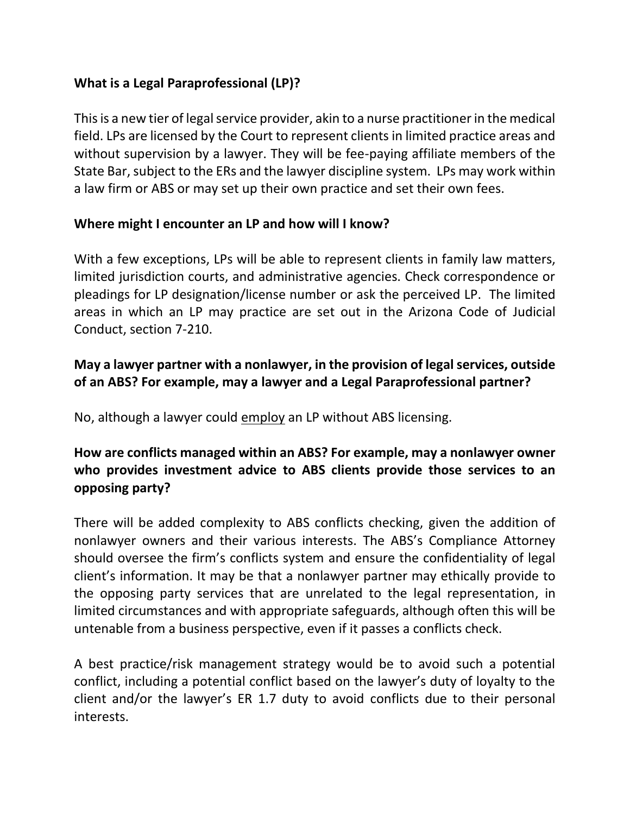### **What is a Legal Paraprofessional (LP)?**

This is a new tier of legal service provider, akin to a nurse practitioner in the medical field. LPs are licensed by the Court to represent clients in limited practice areas and without supervision by a lawyer. They will be fee-paying affiliate members of the State Bar, subject to the ERs and the lawyer discipline system. LPs may work within a law firm or ABS or may set up their own practice and set their own fees.

### **Where might I encounter an LP and how will I know?**

With a few exceptions, LPs will be able to represent clients in family law matters, limited jurisdiction courts, and administrative agencies. Check correspondence or pleadings for LP designation/license number or ask the perceived LP. The limited areas in which an LP may practice are set out in the Arizona Code of Judicial Conduct, section 7-210.

### **May a lawyer partner with a nonlawyer, in the provision of legal services, outside of an ABS? For example, may a lawyer and a Legal Paraprofessional partner?**

No, although a lawyer could employ an LP without ABS licensing.

### **How are conflicts managed within an ABS? For example, may a nonlawyer owner who provides investment advice to ABS clients provide those services to an opposing party?**

There will be added complexity to ABS conflicts checking, given the addition of nonlawyer owners and their various interests. The ABS's Compliance Attorney should oversee the firm's conflicts system and ensure the confidentiality of legal client's information. It may be that a nonlawyer partner may ethically provide to the opposing party services that are unrelated to the legal representation, in limited circumstances and with appropriate safeguards, although often this will be untenable from a business perspective, even if it passes a conflicts check.

A best practice/risk management strategy would be to avoid such a potential conflict, including a potential conflict based on the lawyer's duty of loyalty to the client and/or the lawyer's ER 1.7 duty to avoid conflicts due to their personal interests.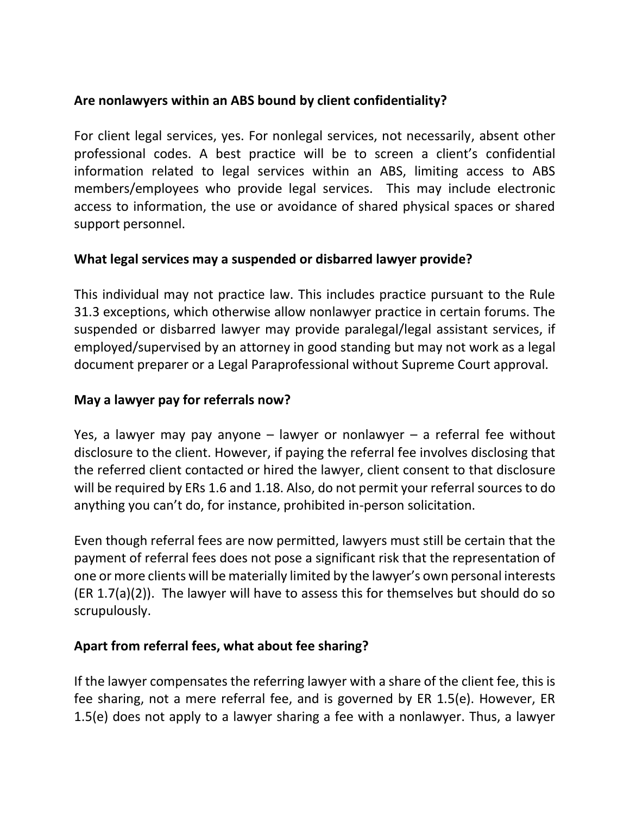### **Are nonlawyers within an ABS bound by client confidentiality?**

For client legal services, yes. For nonlegal services, not necessarily, absent other professional codes. A best practice will be to screen a client's confidential information related to legal services within an ABS, limiting access to ABS members/employees who provide legal services. This may include electronic access to information, the use or avoidance of shared physical spaces or shared support personnel.

### **What legal services may a suspended or disbarred lawyer provide?**

This individual may not practice law. This includes practice pursuant to the Rule 31.3 exceptions, which otherwise allow nonlawyer practice in certain forums. The suspended or disbarred lawyer may provide paralegal/legal assistant services, if employed/supervised by an attorney in good standing but may not work as a legal document preparer or a Legal Paraprofessional without Supreme Court approval.

#### **May a lawyer pay for referrals now?**

Yes, a lawyer may pay anyone  $-$  lawyer or nonlawyer  $-$  a referral fee without disclosure to the client. However, if paying the referral fee involves disclosing that the referred client contacted or hired the lawyer, client consent to that disclosure will be required by ERs 1.6 and 1.18. Also, do not permit your referral sources to do anything you can't do, for instance, prohibited in-person solicitation.

Even though referral fees are now permitted, lawyers must still be certain that the payment of referral fees does not pose a significant risk that the representation of one or more clients will be materially limited by the lawyer's own personal interests (ER 1.7(a)(2)). The lawyer will have to assess this for themselves but should do so scrupulously.

### **Apart from referral fees, what about fee sharing?**

If the lawyer compensates the referring lawyer with a share of the client fee, this is fee sharing, not a mere referral fee, and is governed by ER 1.5(e). However, ER 1.5(e) does not apply to a lawyer sharing a fee with a nonlawyer. Thus, a lawyer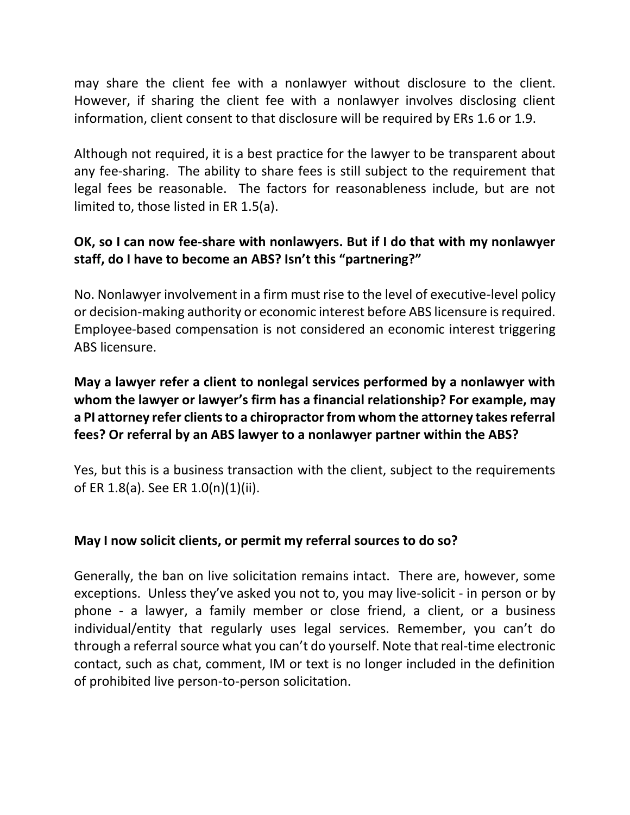may share the client fee with a nonlawyer without disclosure to the client. However, if sharing the client fee with a nonlawyer involves disclosing client information, client consent to that disclosure will be required by ERs 1.6 or 1.9.

Although not required, it is a best practice for the lawyer to be transparent about any fee-sharing. The ability to share fees is still subject to the requirement that legal fees be reasonable. The factors for reasonableness include, but are not limited to, those listed in ER 1.5(a).

### **OK, so I can now fee-share with nonlawyers. But if I do that with my nonlawyer staff, do I have to become an ABS? Isn't this "partnering?"**

No. Nonlawyer involvement in a firm must rise to the level of executive-level policy or decision-making authority or economic interest before ABS licensure is required. Employee-based compensation is not considered an economic interest triggering ABS licensure.

# **May a lawyer refer a client to nonlegal services performed by a nonlawyer with whom the lawyer or lawyer's firm has a financial relationship? For example, may a PI attorney refer clients to a chiropractor from whom the attorney takes referral fees? Or referral by an ABS lawyer to a nonlawyer partner within the ABS?**

Yes, but this is a business transaction with the client, subject to the requirements of ER 1.8(a). See ER 1.0(n)(1)(ii).

### **May I now solicit clients, or permit my referral sources to do so?**

Generally, the ban on live solicitation remains intact. There are, however, some exceptions. Unless they've asked you not to, you may live-solicit - in person or by phone - a lawyer, a family member or close friend, a client, or a business individual/entity that regularly uses legal services. Remember, you can't do through a referral source what you can't do yourself. Note that real-time electronic contact, such as chat, comment, IM or text is no longer included in the definition of prohibited live person-to-person solicitation.